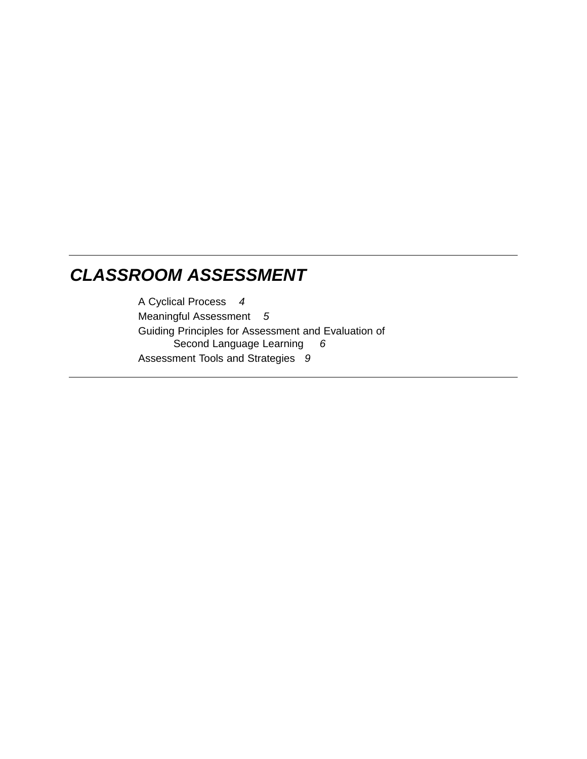## *CLASSROOM ASSESSMENT*

A Cyclical Process *4* Meaningful Assessment *5* Guiding Principles for Assessment and Evaluation of Second Language Learning *6* Assessment Tools and Strategies *9*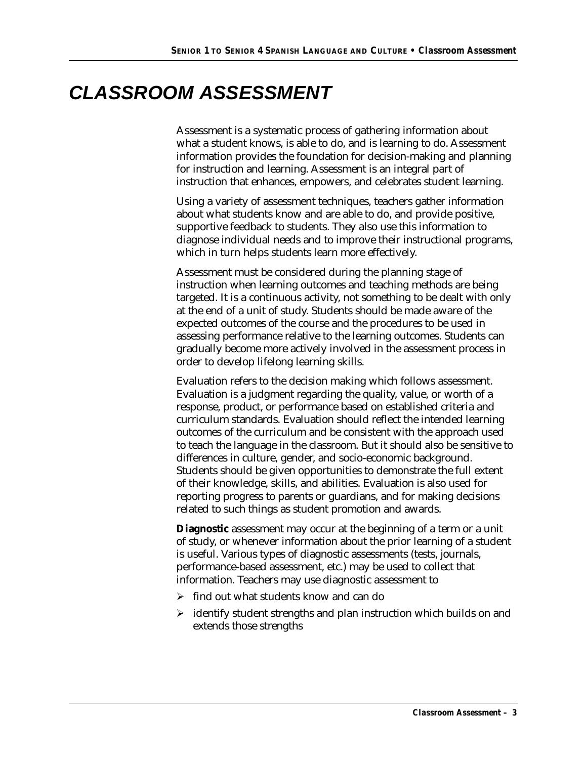# *CLASSROOM ASSESSMENT*

Assessment is a systematic process of gathering information about what a student knows, is able to do, and is learning to do. Assessment information provides the foundation for decision-making and planning for instruction and learning. Assessment is an integral part of instruction that enhances, empowers, and celebrates student learning.

Using a variety of assessment techniques, teachers gather information about what students know and are able to do, and provide positive, supportive feedback to students. They also use this information to diagnose individual needs and to improve their instructional programs, which in turn helps students learn more effectively.

Assessment must be considered during the planning stage of instruction when learning outcomes and teaching methods are being targeted. It is a continuous activity, not something to be dealt with only at the end of a unit of study. Students should be made aware of the expected outcomes of the course and the procedures to be used in assessing performance relative to the learning outcomes. Students can gradually become more actively involved in the assessment process in order to develop lifelong learning skills.

Evaluation refers to the decision making which follows assessment. Evaluation is a judgment regarding the quality, value, or worth of a response, product, or performance based on established criteria and curriculum standards. Evaluation should reflect the intended learning outcomes of the curriculum and be consistent with the approach used to teach the language in the classroom. But it should also be sensitive to differences in culture, gender, and socio-economic background. Students should be given opportunities to demonstrate the full extent of their knowledge, skills, and abilities. Evaluation is also used for reporting progress to parents or guardians, and for making decisions related to such things as student promotion and awards.

**Diagnostic** assessment may occur at the beginning of a term or a unit of study, or whenever information about the prior learning of a student is useful. Various types of diagnostic assessments (tests, journals, performance-based assessment, etc.) may be used to collect that information. Teachers may use diagnostic assessment to

- $\triangleright$  find out what students know and can do
- $\triangleright$  identify student strengths and plan instruction which builds on and extends those strengths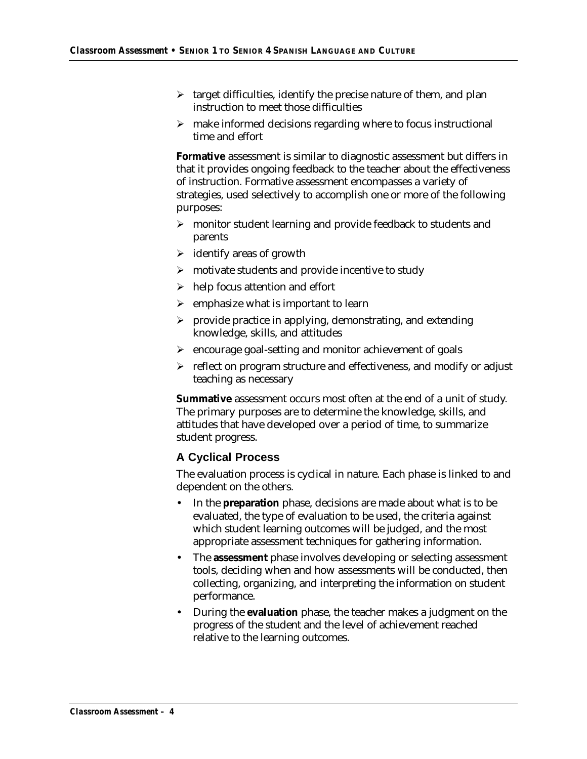- $\triangleright$  target difficulties, identify the precise nature of them, and plan instruction to meet those difficulties
- $\triangleright$  make informed decisions regarding where to focus instructional time and effort

**Formative** assessment is similar to diagnostic assessment but differs in that it provides ongoing feedback to the teacher about the effectiveness of instruction. Formative assessment encompasses a variety of strategies, used selectively to accomplish one or more of the following purposes:

- $\triangleright$  monitor student learning and provide feedback to students and parents
- $\triangleright$  identify areas of growth
- $\triangleright$  motivate students and provide incentive to study
- $\triangleright$  help focus attention and effort
- $\triangleright$  emphasize what is important to learn
- $\triangleright$  provide practice in applying, demonstrating, and extending knowledge, skills, and attitudes
- $\triangleright$  encourage goal-setting and monitor achievement of goals
- $\triangleright$  reflect on program structure and effectiveness, and modify or adjust teaching as necessary

**Summative** assessment occurs most often at the end of a unit of study. The primary purposes are to determine the knowledge, skills, and attitudes that have developed over a period of time, to summarize student progress.

### **A Cyclical Process**

The evaluation process is cyclical in nature. Each phase is linked to and dependent on the others.

- In the **preparation** phase, decisions are made about what is to be evaluated, the type of evaluation to be used, the criteria against which student learning outcomes will be judged, and the most appropriate assessment techniques for gathering information.
- The **assessment** phase involves developing or selecting assessment tools, deciding when and how assessments will be conducted, then collecting, organizing, and interpreting the information on student performance.
- During the **evaluation** phase, the teacher makes a judgment on the progress of the student and the level of achievement reached relative to the learning outcomes.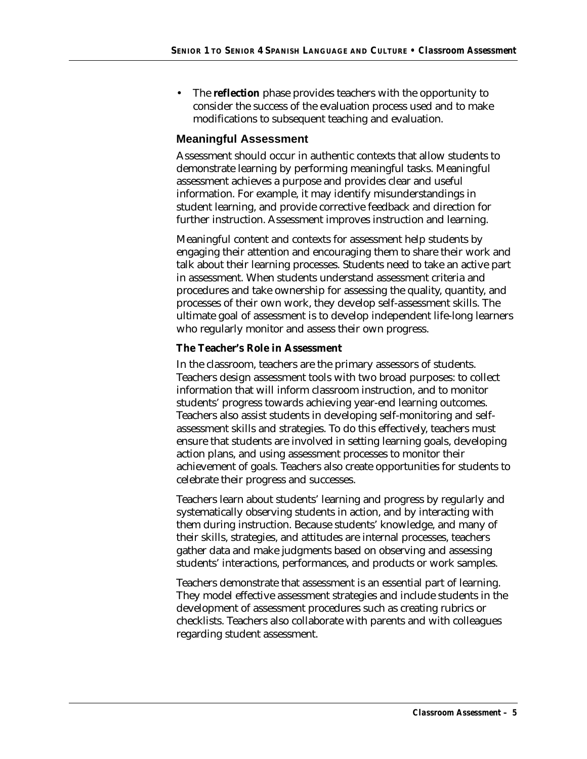• The **reflection** phase provides teachers with the opportunity to consider the success of the evaluation process used and to make modifications to subsequent teaching and evaluation.

#### **Meaningful Assessment**

Assessment should occur in authentic contexts that allow students to demonstrate learning by performing meaningful tasks. Meaningful assessment achieves a purpose and provides clear and useful information. For example, it may identify misunderstandings in student learning, and provide corrective feedback and direction for further instruction. Assessment improves instruction and learning.

Meaningful content and contexts for assessment help students by engaging their attention and encouraging them to share their work and talk about their learning processes. Students need to take an active part in assessment. When students understand assessment criteria and procedures and take ownership for assessing the quality, quantity, and processes of their own work, they develop self-assessment skills. The ultimate goal of assessment is to develop independent life-long learners who regularly monitor and assess their own progress.

#### **The Teacher's Role in Assessment**

In the classroom, teachers are the primary assessors of students. Teachers design assessment tools with two broad purposes: to collect information that will inform classroom instruction, and to monitor students' progress towards achieving year-end learning outcomes. Teachers also assist students in developing self-monitoring and selfassessment skills and strategies. To do this effectively, teachers must ensure that students are involved in setting learning goals, developing action plans, and using assessment processes to monitor their achievement of goals. Teachers also create opportunities for students to celebrate their progress and successes.

Teachers learn about students' learning and progress by regularly and systematically observing students in action, and by interacting with them during instruction. Because students' knowledge, and many of their skills, strategies, and attitudes are internal processes, teachers gather data and make judgments based on observing and assessing students' interactions, performances, and products or work samples.

Teachers demonstrate that assessment is an essential part of learning. They model effective assessment strategies and include students in the development of assessment procedures such as creating rubrics or checklists. Teachers also collaborate with parents and with colleagues regarding student assessment.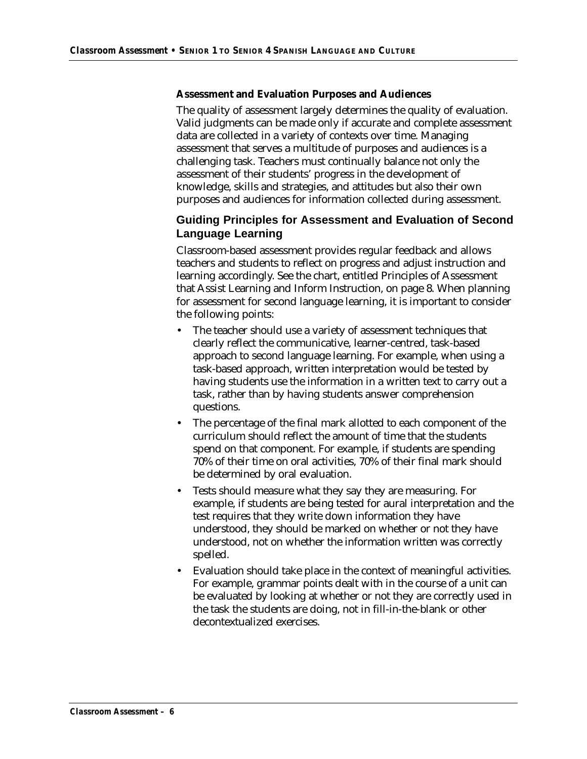#### **Assessment and Evaluation Purposes and Audiences**

The quality of assessment largely determines the quality of evaluation. Valid judgments can be made only if accurate and complete assessment data are collected in a variety of contexts over time. Managing assessment that serves a multitude of purposes and audiences is a challenging task. Teachers must continually balance not only the assessment of their students' progress in the development of knowledge, skills and strategies, and attitudes but also their own purposes and audiences for information collected during assessment.

### **Guiding Principles for Assessment and Evaluation of Second Language Learning**

Classroom-based assessment provides regular feedback and allows teachers and students to reflect on progress and adjust instruction and learning accordingly. See the chart, entitled Principles of Assessment that Assist Learning and Inform Instruction, on page 8. When planning for assessment for second language learning, it is important to consider the following points:

- The teacher should use a variety of assessment techniques that clearly reflect the communicative, learner-centred, task-based approach to second language learning. For example, when using a task-based approach, written interpretation would be tested by having students use the information in a written text to carry out a task, rather than by having students answer comprehension questions.
- The percentage of the final mark allotted to each component of the curriculum should reflect the amount of time that the students spend on that component. For example, if students are spending 70% of their time on oral activities, 70% of their final mark should be determined by oral evaluation.
- Tests should measure what they say they are measuring. For example, if students are being tested for aural interpretation and the test requires that they write down information they have understood, they should be marked on whether or not they have understood, not on whether the information written was correctly spelled.
- Evaluation should take place in the context of meaningful activities. For example, grammar points dealt with in the course of a unit can be evaluated by looking at whether or not they are correctly used in the task the students are doing, not in fill-in-the-blank or other decontextualized exercises.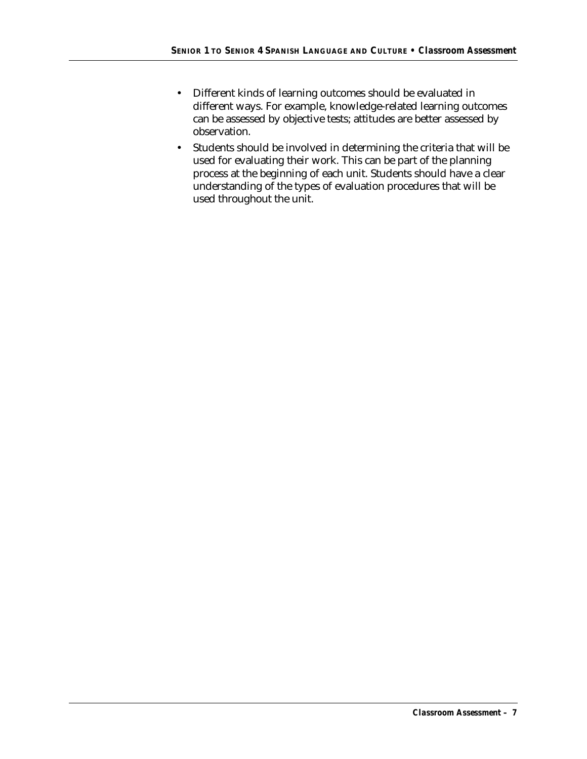- Different kinds of learning outcomes should be evaluated in different ways. For example, knowledge-related learning outcomes can be assessed by objective tests; attitudes are better assessed by observation.
- Students should be involved in determining the criteria that will be used for evaluating their work. This can be part of the planning process at the beginning of each unit. Students should have a clear understanding of the types of evaluation procedures that will be used throughout the unit.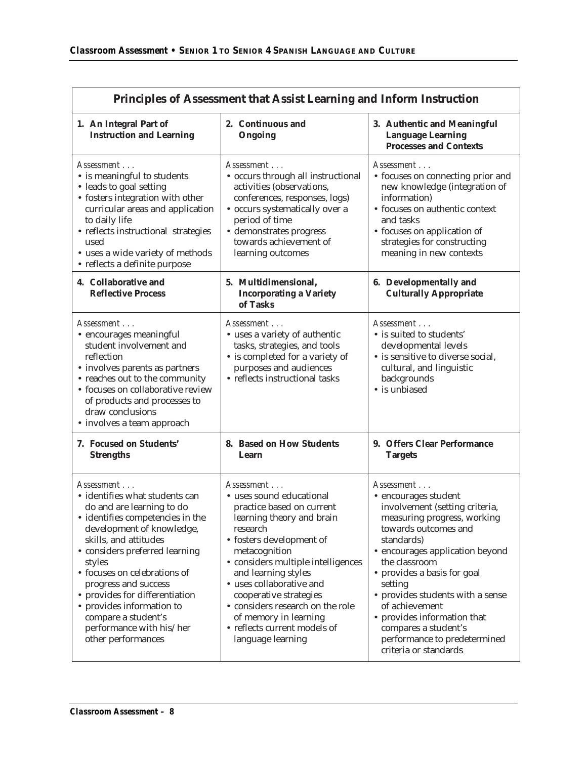| Principles of Assessment that Assist Learning and Inform Instruction                                                                                                                                                                                                                                                                                                                                            |                                                                                                                                                                                                                                                                                                                                                                                                |                                                                                                                                                                                                                                                                                                                                                                                                               |  |  |
|-----------------------------------------------------------------------------------------------------------------------------------------------------------------------------------------------------------------------------------------------------------------------------------------------------------------------------------------------------------------------------------------------------------------|------------------------------------------------------------------------------------------------------------------------------------------------------------------------------------------------------------------------------------------------------------------------------------------------------------------------------------------------------------------------------------------------|---------------------------------------------------------------------------------------------------------------------------------------------------------------------------------------------------------------------------------------------------------------------------------------------------------------------------------------------------------------------------------------------------------------|--|--|
| 1. An Integral Part of<br><b>Instruction and Learning</b>                                                                                                                                                                                                                                                                                                                                                       | 2. Continuous and<br>Ongoing                                                                                                                                                                                                                                                                                                                                                                   | 3. Authentic and Meaningful<br>Language Learning<br><b>Processes and Contexts</b>                                                                                                                                                                                                                                                                                                                             |  |  |
| Assessment<br>• is meaningful to students<br>• leads to goal setting<br>• fosters integration with other<br>curricular areas and application<br>to daily life<br>• reflects instructional strategies<br>used<br>• uses a wide variety of methods<br>• reflects a definite purpose                                                                                                                               | Assessment<br>• occurs through all instructional<br>activities (observations,<br>conferences, responses, logs)<br>· occurs systematically over a<br>period of time<br>· demonstrates progress<br>towards achievement of<br>learning outcomes                                                                                                                                                   | Assessment<br>• focuses on connecting prior and<br>new knowledge (integration of<br>information)<br>• focuses on authentic context<br>and tasks<br>• focuses on application of<br>strategies for constructing<br>meaning in new contexts                                                                                                                                                                      |  |  |
| 4. Collaborative and<br><b>Reflective Process</b>                                                                                                                                                                                                                                                                                                                                                               | 5. Multidimensional,<br><b>Incorporating a Variety</b><br>of Tasks                                                                                                                                                                                                                                                                                                                             | 6. Developmentally and<br><b>Culturally Appropriate</b>                                                                                                                                                                                                                                                                                                                                                       |  |  |
| Assessment<br>• encourages meaningful<br>student involvement and<br>reflection<br>• involves parents as partners<br>• reaches out to the community<br>• focuses on collaborative review<br>of products and processes to<br>draw conclusions<br>• involves a team approach                                                                                                                                       | Assessment<br>• uses a variety of authentic<br>tasks, strategies, and tools<br>• is completed for a variety of<br>purposes and audiences<br>• reflects instructional tasks                                                                                                                                                                                                                     | Assessment<br>· is suited to students'<br>developmental levels<br>• is sensitive to diverse social,<br>cultural, and linguistic<br>backgrounds<br>• is unbiased                                                                                                                                                                                                                                               |  |  |
| 7. Focused on Students'<br><b>Strengths</b>                                                                                                                                                                                                                                                                                                                                                                     | 8. Based on How Students<br>Learn                                                                                                                                                                                                                                                                                                                                                              | 9. Offers Clear Performance<br><b>Targets</b>                                                                                                                                                                                                                                                                                                                                                                 |  |  |
| Assessment<br>· identifies what students can<br>do and are learning to do<br>· identifies competencies in the<br>development of knowledge,<br>skills, and attitudes<br>• considers preferred learning<br>styles<br>• focuses on celebrations of<br>progress and success<br>• provides for differentiation<br>• provides information to<br>compare a student's<br>performance with his/her<br>other performances | Assessment<br>• uses sound educational<br>practice based on current<br>learning theory and brain<br>research<br>• fosters development of<br>metacognition<br>• considers multiple intelligences<br>and learning styles<br>· uses collaborative and<br>cooperative strategies<br>• considers research on the role<br>of memory in learning<br>• reflects current models of<br>language learning | Assessment<br>• encourages student<br>involvement (setting criteria,<br>measuring progress, working<br>towards outcomes and<br>standards)<br>• encourages application beyond<br>the classroom<br>• provides a basis for goal<br>setting<br>• provides students with a sense<br>of achievement<br>• provides information that<br>compares a student's<br>performance to predetermined<br>criteria or standards |  |  |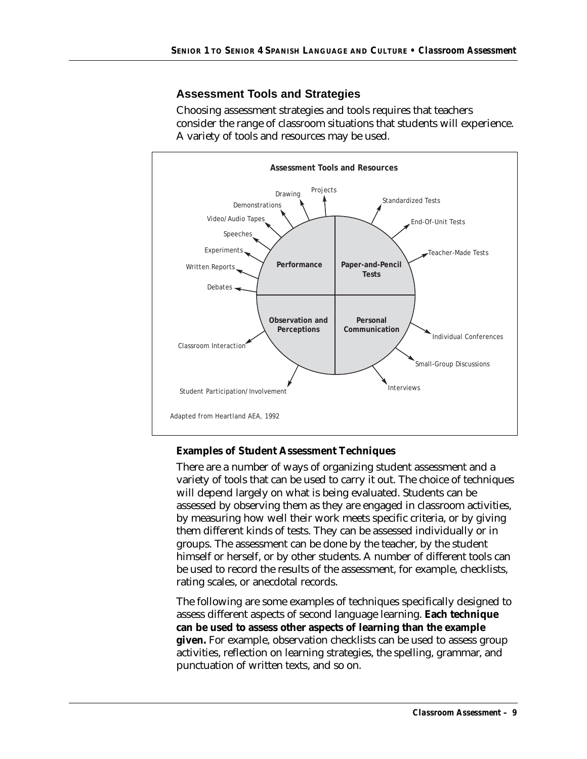### **Assessment Tools and Strategies**

Choosing assessment strategies and tools requires that teachers consider the range of classroom situations that students will experience. A variety of tools and resources may be used.



#### **Examples of Student Assessment Techniques**

There are a number of ways of organizing student assessment and a variety of tools that can be used to carry it out. The choice of techniques will depend largely on what is being evaluated. Students can be assessed by observing them as they are engaged in classroom activities, by measuring how well their work meets specific criteria, or by giving them different kinds of tests. They can be assessed individually or in groups. The assessment can be done by the teacher, by the student himself or herself, or by other students. A number of different tools can be used to record the results of the assessment, for example, checklists, rating scales, or anecdotal records.

The following are some examples of techniques specifically designed to assess different aspects of second language learning. **Each technique can be used to assess other aspects of learning than the example given.** For example, observation checklists can be used to assess group activities, reflection on learning strategies, the spelling, grammar, and punctuation of written texts, and so on.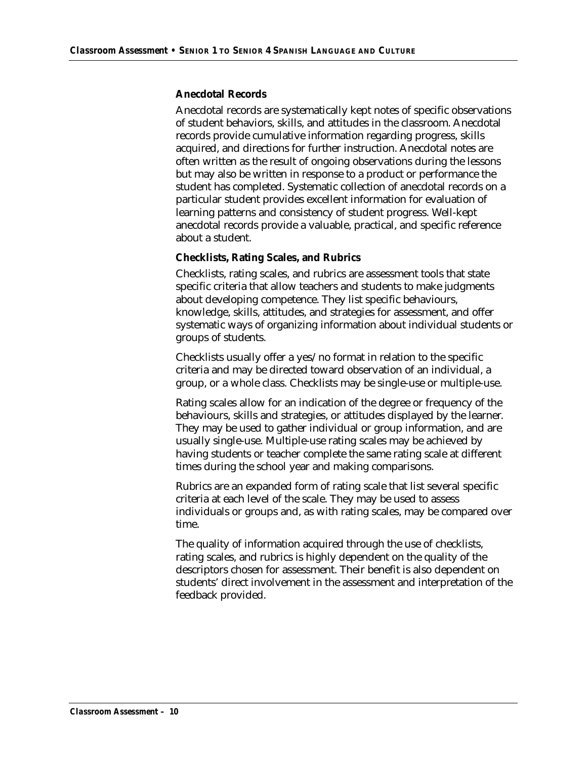#### **Anecdotal Records**

Anecdotal records are systematically kept notes of specific observations of student behaviors, skills, and attitudes in the classroom. Anecdotal records provide cumulative information regarding progress, skills acquired, and directions for further instruction. Anecdotal notes are often written as the result of ongoing observations during the lessons but may also be written in response to a product or performance the student has completed. Systematic collection of anecdotal records on a particular student provides excellent information for evaluation of learning patterns and consistency of student progress. Well-kept anecdotal records provide a valuable, practical, and specific reference about a student.

#### **Checklists, Rating Scales, and Rubrics**

Checklists, rating scales, and rubrics are assessment tools that state specific criteria that allow teachers and students to make judgments about developing competence. They list specific behaviours, knowledge, skills, attitudes, and strategies for assessment, and offer systematic ways of organizing information about individual students or groups of students.

Checklists usually offer a yes/no format in relation to the specific criteria and may be directed toward observation of an individual, a group, or a whole class. Checklists may be single-use or multiple-use.

Rating scales allow for an indication of the degree or frequency of the behaviours, skills and strategies, or attitudes displayed by the learner. They may be used to gather individual or group information, and are usually single-use. Multiple-use rating scales may be achieved by having students or teacher complete the same rating scale at different times during the school year and making comparisons.

Rubrics are an expanded form of rating scale that list several specific criteria at each level of the scale. They may be used to assess individuals or groups and, as with rating scales, may be compared over time.

The quality of information acquired through the use of checklists, rating scales, and rubrics is highly dependent on the quality of the descriptors chosen for assessment. Their benefit is also dependent on students' direct involvement in the assessment and interpretation of the feedback provided.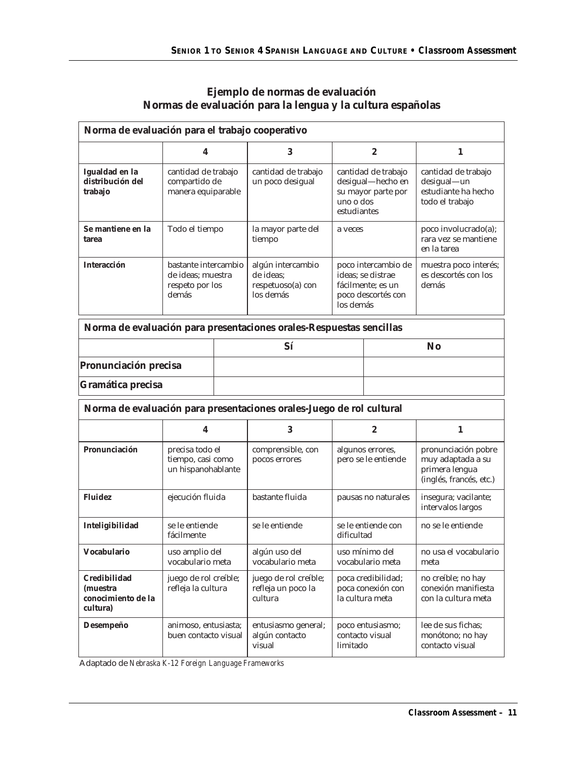| Ejemplo de normas de evaluación                            |  |
|------------------------------------------------------------|--|
| Normas de evaluación para la lengua y la cultura españolas |  |

| Norma de evaluación para el trabajo cooperativo            |                                                                       |  |                                                                      |                                                            |                                                                                     |                                                                                       |  |                       |
|------------------------------------------------------------|-----------------------------------------------------------------------|--|----------------------------------------------------------------------|------------------------------------------------------------|-------------------------------------------------------------------------------------|---------------------------------------------------------------------------------------|--|-----------------------|
|                                                            | 4                                                                     |  | 3                                                                    |                                                            | $\overline{2}$                                                                      | 1                                                                                     |  |                       |
| Igualdad en la<br>distribución del<br>trabajo              | cantidad de trabajo<br>compartido de<br>manera equiparable            |  | cantidad de trabajo<br>un poco desigual                              | uno o dos<br>estudiantes                                   | cantidad de trabajo<br>desigual-hecho en<br>su mayor parte por                      | cantidad de trabajo<br>desigual-un<br>estudiante ha hecho<br>todo el trabajo          |  |                       |
| Se mantiene en la<br>tarea                                 | Todo el tiempo                                                        |  | la mayor parte del<br>tiempo                                         | a veces                                                    |                                                                                     | poco involucrado(a);<br>rara yez se mantiene<br>en la tarea                           |  |                       |
| Interacción                                                | bastante intercambio<br>de ideas; muestra<br>respeto por los<br>demás |  | algún intercambio<br>de ideas;<br>respetuoso(a) con<br>los demás     | los demás                                                  | poco intercambio de<br>ideas; se distrae<br>fácilmente; es un<br>poco descortés con | muestra poco interés;<br>es descortés con los<br>demás                                |  |                       |
|                                                            |                                                                       |  | Norma de evaluación para presentaciones orales-Respuestas sencillas  |                                                            |                                                                                     |                                                                                       |  |                       |
|                                                            |                                                                       |  | Sí                                                                   |                                                            |                                                                                     | <b>No</b>                                                                             |  |                       |
| Pronunciación precisa                                      |                                                                       |  |                                                                      |                                                            |                                                                                     |                                                                                       |  |                       |
| Gramática precisa                                          |                                                                       |  |                                                                      |                                                            |                                                                                     |                                                                                       |  |                       |
|                                                            |                                                                       |  | Norma de evaluación para presentaciones orales-Juego de rol cultural |                                                            |                                                                                     |                                                                                       |  |                       |
|                                                            | 4                                                                     |  | 3                                                                    | $\overline{2}$                                             |                                                                                     | 1                                                                                     |  |                       |
| Pronunciación                                              | precisa todo el<br>tiempo, casi como<br>un hispanohablante            |  | comprensible, con<br>pocos errores                                   |                                                            | algunos errores,<br>pero se le entiende                                             | pronunciación pobre<br>muy adaptada a su<br>primera lengua<br>(inglés, francés, etc.) |  |                       |
| Fluidez                                                    | ejecución fluida                                                      |  | bastante fluida                                                      | pausas no naturales                                        |                                                                                     | insegura; vacilante;<br>intervalos largos                                             |  |                       |
| Inteligibilidad                                            | se le entiende<br>fácilmente                                          |  | se le entiende                                                       | se le entiende con<br>dificultad                           |                                                                                     | no se le entiende                                                                     |  |                       |
| Vocabulario                                                | uso amplio del<br>vocabulario meta                                    |  | algún uso del<br>vocabulario meta                                    | uso mínimo del<br>vocabulario meta<br>meta                 |                                                                                     |                                                                                       |  | no usa el vocabulario |
| Credibilidad<br>(muestra<br>conocimiento de la<br>cultura) | juego de rol creíble;<br>refleja la cultura                           |  | juego de rol creíble;<br>refleja un poco la<br>cultura               | poca credibilidad;<br>poca conexión con<br>la cultura meta |                                                                                     | no creíble; no hay<br>conexión manifiesta<br>con la cultura meta                      |  |                       |
| Desempeño                                                  | animoso, entusiasta;<br>buen contacto visual                          |  | entusiasmo general;<br>algún contacto<br>visual                      | limitado                                                   | poco entusiasmo;<br>contacto visual                                                 | lee de sus fichas;<br>monótono; no hay<br>contacto visual                             |  |                       |

Adaptado de *Nebraska K-12 Foreign Language Frameworks*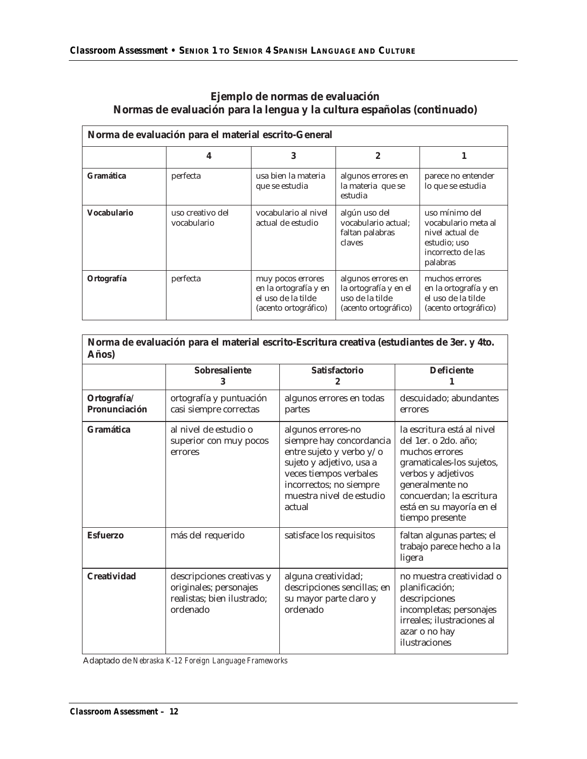#### **Ejemplo de normas de evaluación Normas de evaluación para la lengua y la cultura españolas (continuado)**

| Norma de evaluación para el material escrito-General |                                 |                                                                                          |                                                                                        |                                                                                                           |  |  |  |
|------------------------------------------------------|---------------------------------|------------------------------------------------------------------------------------------|----------------------------------------------------------------------------------------|-----------------------------------------------------------------------------------------------------------|--|--|--|
|                                                      | 4                               |                                                                                          | 2                                                                                      |                                                                                                           |  |  |  |
| Gramática                                            | perfecta                        | usa bien la materia<br>que se estudia                                                    | algunos errores en<br>la materia que se<br>estudia                                     | parece no entender<br>lo que se estudia                                                                   |  |  |  |
| Vocabulario                                          | uso creativo del<br>vocabulario | vocabulario al nivel<br>actual de estudio                                                | algún uso del<br>vocabulario actual:<br>faltan palabras<br>claves                      | uso mínimo del<br>vocabulario meta al<br>nivel actual de<br>estudio; uso<br>incorrecto de las<br>palabras |  |  |  |
| Ortografía                                           | perfecta                        | muy pocos errores<br>en la ortografía y en<br>el uso de la tilde<br>(acento ortográfico) | algunos errores en<br>la ortografía y en el<br>uso de la tilde<br>(acento ortográfico) | muchos errores<br>en la ortografía y en<br>el uso de la tilde<br>(acento ortográfico)                     |  |  |  |

| Norma de evaluación para el material escrito-Escritura creativa (estudiantes de 3er. y 4to.<br>Años) |                                                                                               |                                                                                                                                                                                                   |                                                                                                                                                                                                                       |  |  |  |  |
|------------------------------------------------------------------------------------------------------|-----------------------------------------------------------------------------------------------|---------------------------------------------------------------------------------------------------------------------------------------------------------------------------------------------------|-----------------------------------------------------------------------------------------------------------------------------------------------------------------------------------------------------------------------|--|--|--|--|
|                                                                                                      | Sobresaliente<br>3                                                                            | Satisfactorio<br>2                                                                                                                                                                                | <b>Deficiente</b>                                                                                                                                                                                                     |  |  |  |  |
| Ortografía/<br>Pronunciación                                                                         | ortografía y puntuación<br>casi siempre correctas                                             | algunos errores en todas<br>partes                                                                                                                                                                | descuidado; abundantes<br>errores                                                                                                                                                                                     |  |  |  |  |
| Gramática                                                                                            | al nivel de estudio o<br>superior con muy pocos<br>errores                                    | algunos errores-no<br>siempre hay concordancia<br>entre sujeto y verbo y/o<br>sujeto y adjetivo, usa a<br>veces tiempos verbales<br>incorrectos; no siempre<br>muestra nivel de estudio<br>actual | la escritura está al nivel<br>del 1er. o 2do. año:<br>muchos errores<br>gramaticales-los sujetos,<br>verbos y adjetivos<br>generalmente no<br>concuerdan; la escritura<br>está en su mayoría en el<br>tiempo presente |  |  |  |  |
| Esfuerzo                                                                                             | más del requerido                                                                             | satisface los requisitos                                                                                                                                                                          | faltan algunas partes; el<br>trabajo parece hecho a la<br>ligera                                                                                                                                                      |  |  |  |  |
| Creatividad                                                                                          | descripciones creativas y<br>originales; personajes<br>realistas; bien ilustrado;<br>ordenado | alguna creatividad;<br>descripciones sencillas; en<br>su mayor parte claro y<br>ordenado                                                                                                          | no muestra creatividad o<br>planificación;<br>descripciones<br>incompletas; personajes<br>irreales; ilustraciones al<br>azar o no hay<br>ilustraciones                                                                |  |  |  |  |

Adaptado de *Nebraska K-12 Foreign Language Frameworks*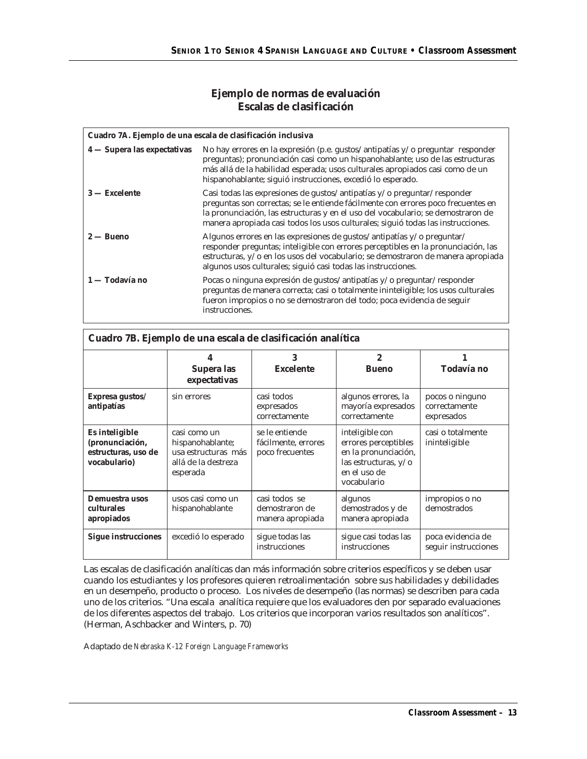#### **Ejemplo de normas de evaluación Escalas de clasificación**

|                             | Cuadro 7A. Ejemplo de una escala de clasificación inclusiva                                                                                                                                                                                                                                                                          |
|-----------------------------|--------------------------------------------------------------------------------------------------------------------------------------------------------------------------------------------------------------------------------------------------------------------------------------------------------------------------------------|
| 4 — Supera las expectativas | No hay errores en la expresión (p.e. gustos/antipatías y/o preguntar responder<br>preguntas); pronunciación casi como un hispanohablante; uso de las estructuras<br>más allá de la habilidad esperada; usos culturales apropiados casi como de un<br>hispanohablante; siguió instrucciones, excedió lo esperado.                     |
| $3$ - Excelente             | Casi todas las expresiones de qustos/antipatías y/o preguntar/responder<br>preguntas son correctas; se le entiende fácilmente con errores poco frecuentes en<br>la pronunciación, las estructuras y en el uso del vocabulario; se demostraron de<br>manera apropiada casi todos los usos culturales; siguió todas las instrucciones. |
| $2 - B$ ueno                | Algunos errores en las expresiones de gustos/antipatías y/o preguntar/<br>responder preguntas; inteligible con errores perceptibles en la pronunciación, las<br>estructuras, y/o en los usos del vocabulario; se demostraron de manera apropiada<br>algunos usos culturales; siguió casi todas las instrucciones.                    |
| 1 — Todavía no              | Pocas o ninguna expresión de qustos/antipatías y/o preguntar/responder<br>preguntas de manera correcta; casi o totalmente ininteligible; los usos culturales<br>fueron impropios o no se demostraron del todo; poca evidencia de seguir<br>instrucciones.                                                                            |

| Cuadro 7B. Ejemplo de una escala de clasificación analítica              |                                                                                            |                                                          |                                                                                                                        |                                                |  |  |  |  |
|--------------------------------------------------------------------------|--------------------------------------------------------------------------------------------|----------------------------------------------------------|------------------------------------------------------------------------------------------------------------------------|------------------------------------------------|--|--|--|--|
|                                                                          | 4<br>Supera las<br>expectativas                                                            | 3<br>Excelente                                           | $\overline{2}$<br><b>Bueno</b>                                                                                         | Todavía no                                     |  |  |  |  |
| Expresa gustos/<br>antipatías                                            | sin errores                                                                                | casi todos<br>expresados<br>correctamente                | algunos errores, la<br>mayoría expresados<br>correctamente                                                             | pocos o ninguno<br>correctamente<br>expresados |  |  |  |  |
| Es inteligible<br>(pronunciación,<br>estructuras, uso de<br>vocabulario) | casi como un<br>hispanohablante;<br>usa estructuras más<br>allá de la destreza<br>esperada | se le entiende<br>fácilmente, errores<br>poco frecuentes | inteligible con<br>errores perceptibles<br>en la pronunciación,<br>las estructuras, y/o<br>en el uso de<br>vocabulario | casi o totalmente<br>ininteligible             |  |  |  |  |
| Demuestra usos<br>culturales<br>apropiados                               | usos casi como un<br>hispanohablante                                                       | casi todos se<br>demostraron de<br>manera apropiada      | algunos<br>demostrados y de<br>manera apropiada                                                                        | impropios o no<br>demostrados                  |  |  |  |  |
| Sigue instrucciones                                                      | excedió lo esperado                                                                        | sique todas las<br>instrucciones                         | sique casi todas las<br>instrucciones                                                                                  | poca evidencia de<br>sequir instrucciones      |  |  |  |  |

Las escalas de clasificación analíticas dan más información sobre criterios específicos y se deben usar cuando los estudiantes y los profesores quieren retroalimentación sobre sus habilidades y debilidades en un desempeño, producto o proceso. Los niveles de desempeño (las normas) se describen para cada uno de los criterios. "Una escala analítica requiere que los evaluadores den por separado evaluaciones de los diferentes aspectos del trabajo. Los criterios que incorporan varios resultados son analíticos". (Herman, Aschbacker and Winters, p. 70)

Adaptado de *Nebraska K-12 Foreign Language Frameworks*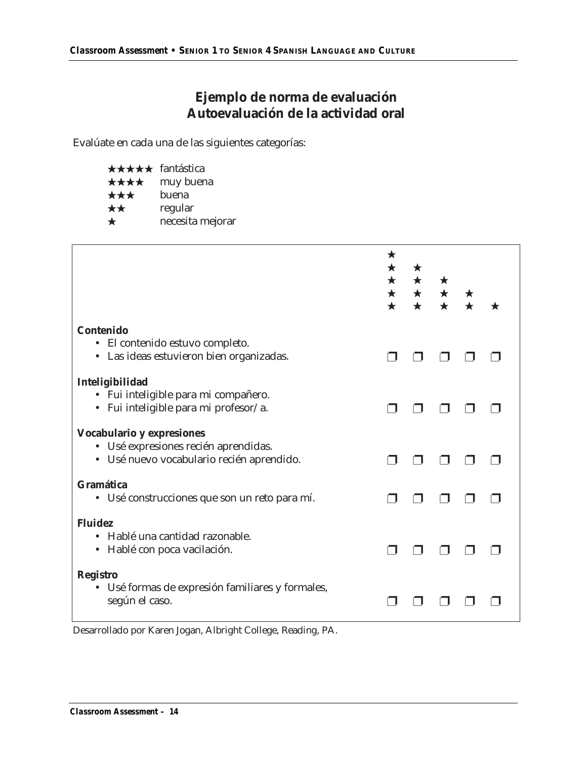## **Ejemplo de norma de evaluación Autoevaluación de la actividad oral**

Evalúate en cada una de las siguientes categorías:

| ★★★★★ fantástica |                  |
|------------------|------------------|
| ****             | muy buena        |
| ★★★              | buena            |
| **               | regular          |
| $\bigstar$       | necesita mejorar |

|                                                                                                                | $\star$<br>$\bigstar$ | $\star$ |  |  |
|----------------------------------------------------------------------------------------------------------------|-----------------------|---------|--|--|
| Contenido<br>• El contenido estuvo completo.<br>Las ideas estuvieron bien organizadas.<br>$\bullet$            |                       |         |  |  |
| Inteligibilidad<br>· Fui inteligible para mi compañero.<br>· Fui inteligible para mi profesor/a.               |                       |         |  |  |
| Vocabulario y expresiones<br>· Usé expresiones recién aprendidas.<br>· Usé nuevo vocabulario recién aprendido. |                       |         |  |  |
| Gramática<br>· Usé construcciones que son un reto para mí.                                                     |                       |         |  |  |
| <b>Fluidez</b><br>Hablé una cantidad razonable.<br>Hablé con poca vacilación.<br>$\bullet$                     |                       |         |  |  |
| <b>Registro</b><br>· Usé formas de expresión familiares y formales,<br>según el caso.                          |                       |         |  |  |

Desarrollado por Karen Jogan, Albright College, Reading, PA.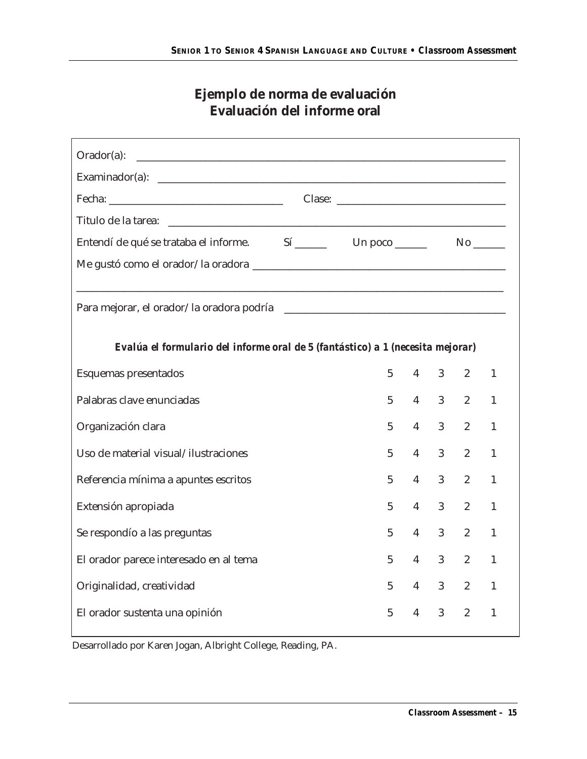## **Ejemplo de norma de evaluación Evaluación del informe oral**

| $Orador(a)$ :                                                                  |   |                |                |                |              |
|--------------------------------------------------------------------------------|---|----------------|----------------|----------------|--------------|
|                                                                                |   |                |                |                |              |
|                                                                                |   |                |                |                |              |
|                                                                                |   |                |                |                |              |
| Entendí de qué se trataba el informe. Sí ______ Un poco _____ No ____          |   |                |                |                |              |
|                                                                                |   |                |                |                |              |
|                                                                                |   |                |                |                |              |
| Evalúa el formulario del informe oral de 5 (fantástico) a 1 (necesita mejorar) |   |                |                |                |              |
| Esquemas presentados                                                           | 5 | $4 \quad$      | 3 <sup>7</sup> | $2^{\circ}$    | 1            |
| Palabras clave enunciadas                                                      | 5 | $4 \quad$      | 3 <sup>7</sup> | $2^{\circ}$    | 1            |
| Organización clara                                                             | 5 | $\overline{4}$ | 3 <sup>1</sup> | $2^{\circ}$    | 1            |
| Uso de material visual/ilustraciones                                           | 5 | $\overline{4}$ | 3 <sup>1</sup> | $\overline{2}$ | 1            |
| Referencia mínima a apuntes escritos                                           | 5 | $\overline{4}$ | $\mathfrak{Z}$ | $\overline{2}$ | 1            |
| Extensión apropiada                                                            | 5 | $\overline{4}$ | $\mathfrak{Z}$ | $\overline{2}$ | 1            |
| Se respondío a las preguntas                                                   | 5 | $\overline{4}$ | $\mathfrak{Z}$ | $\overline{2}$ | $\mathbf{1}$ |
| El orador parece interesado en al tema                                         | 5 | $\overline{4}$ | $\mathfrak{Z}$ | $\overline{2}$ | $\mathbf{1}$ |
| Originalidad, creatividad                                                      | 5 | $4 \quad$      | 3 <sup>1</sup> | $2^{\circ}$    | 1            |
| El orador sustenta una opinión                                                 | 5 | 4              | $\mathfrak{Z}$ | $\overline{2}$ | 1            |

Desarrollado por Karen Jogan, Albright College, Reading, PA.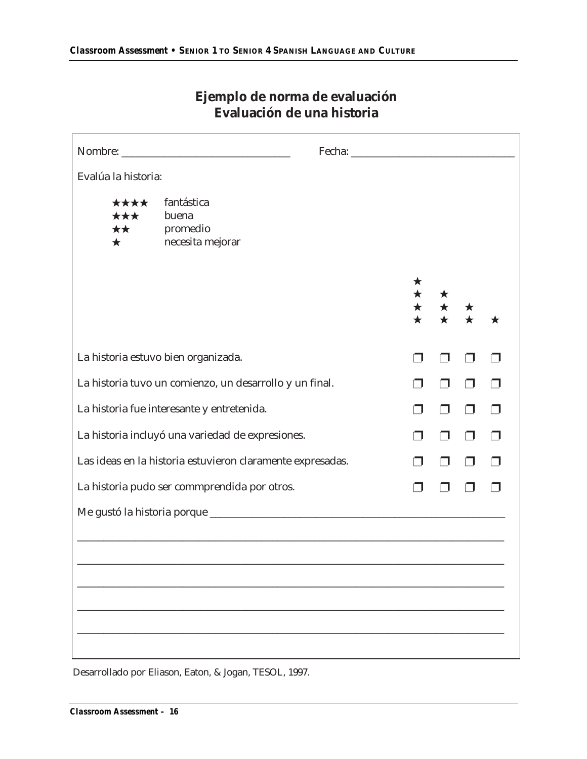| Evalúa la historia:             |                                                            |  |   |  |
|---------------------------------|------------------------------------------------------------|--|---|--|
| ****<br>***<br>**<br>$\bigstar$ | fantástica<br>buena<br>promedio<br>necesita mejorar        |  |   |  |
|                                 |                                                            |  |   |  |
|                                 | La historia estuvo bien organizada.                        |  |   |  |
|                                 | La historia tuvo un comienzo, un desarrollo y un final.    |  |   |  |
|                                 | La historia fue interesante y entretenida.                 |  | ⊓ |  |
|                                 | La historia incluyó una variedad de expresiones.           |  |   |  |
|                                 | Las ideas en la historia estuvieron claramente expresadas. |  |   |  |
|                                 | La historia pudo ser commprendida por otros.               |  |   |  |
|                                 |                                                            |  |   |  |
|                                 |                                                            |  |   |  |
|                                 |                                                            |  |   |  |
|                                 |                                                            |  |   |  |
|                                 |                                                            |  |   |  |
|                                 |                                                            |  |   |  |

## **Ejemplo de norma de evaluación Evaluación de una historia**

Desarrollado por Eliason, Eaton, & Jogan, TESOL, 1997.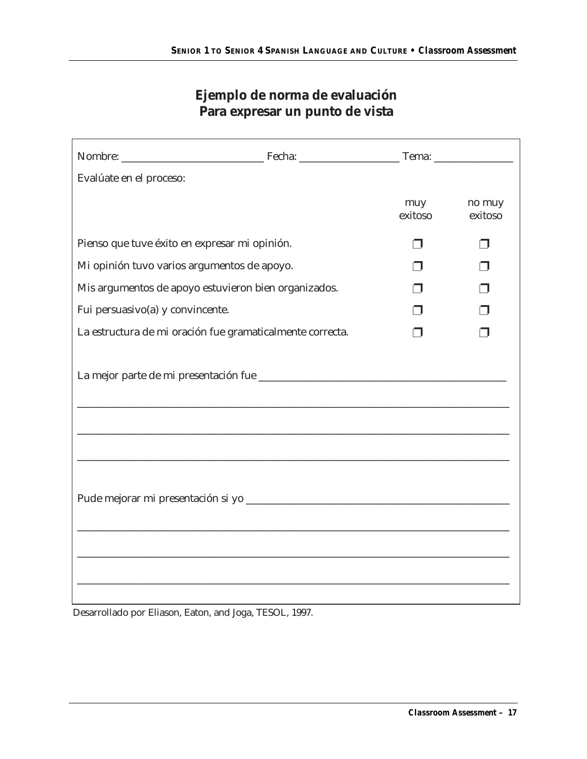## **Ejemplo de norma de evaluación Para expresar un punto de vista**

| Evalúate en el proceso:          |                                                           |                |                   |
|----------------------------------|-----------------------------------------------------------|----------------|-------------------|
|                                  |                                                           | muy<br>exitoso | no muy<br>exitoso |
|                                  | Pienso que tuve éxito en expresar mi opinión.             |                |                   |
|                                  | Mi opinión tuvo varios argumentos de apoyo.               |                |                   |
|                                  | Mis argumentos de apoyo estuvieron bien organizados.      |                |                   |
| Fui persuasivo(a) y convincente. |                                                           |                |                   |
|                                  | La estructura de mi oración fue gramaticalmente correcta. |                |                   |
|                                  |                                                           |                |                   |
|                                  |                                                           |                |                   |
|                                  |                                                           |                |                   |

Desarrollado por Eliason, Eaton, and Joga, TESOL, 1997.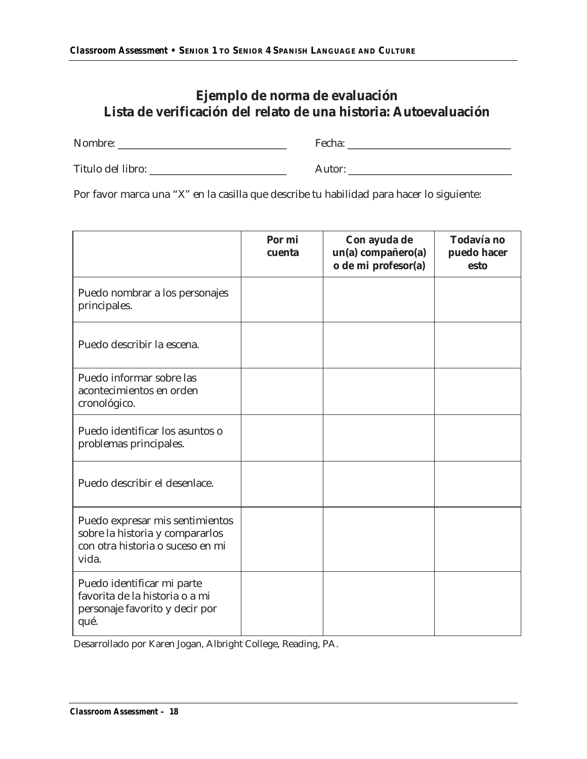## **Ejemplo de norma de evaluación Lista de verificación del relato de una historia: Autoevaluación**

Nombre: \_\_\_\_\_\_\_\_\_\_\_\_\_\_\_\_\_\_\_\_\_\_\_\_\_\_\_\_\_\_\_\_ Fecha: \_\_\_\_\_\_\_\_\_\_\_\_\_\_\_\_\_\_\_\_\_\_\_\_\_\_\_\_\_\_\_

Titulo del libro: \_\_\_\_\_\_\_\_\_\_\_\_\_\_\_\_\_\_\_\_\_\_\_\_\_\_ Autor: \_\_\_\_\_\_\_\_\_\_\_\_\_\_\_\_\_\_\_\_\_\_\_\_\_\_\_\_\_\_\_

Por favor marca una "X" en la casilla que describe tu habilidad para hacer lo siguiente:

|                                                                                                                 | Por mi<br>cuenta | Con ayuda de<br>un(a) compañero(a)<br>o de mi profesor(a) | Todavía no<br>puedo hacer<br>esto |
|-----------------------------------------------------------------------------------------------------------------|------------------|-----------------------------------------------------------|-----------------------------------|
| Puedo nombrar a los personajes<br>principales.                                                                  |                  |                                                           |                                   |
| Puedo describir la escena.                                                                                      |                  |                                                           |                                   |
| Puedo informar sobre las<br>acontecimientos en orden<br>cronológico.                                            |                  |                                                           |                                   |
| Puedo identificar los asuntos o<br>problemas principales.                                                       |                  |                                                           |                                   |
| Puedo describir el desenlace.                                                                                   |                  |                                                           |                                   |
| Puedo expresar mis sentimientos<br>sobre la historia y compararlos<br>con otra historia o suceso en mi<br>vida. |                  |                                                           |                                   |
| Puedo identificar mi parte<br>favorita de la historia o a mi<br>personaje favorito y decir por<br>qué.          |                  |                                                           |                                   |

Desarrollado por Karen Jogan, Albright College, Reading, PA.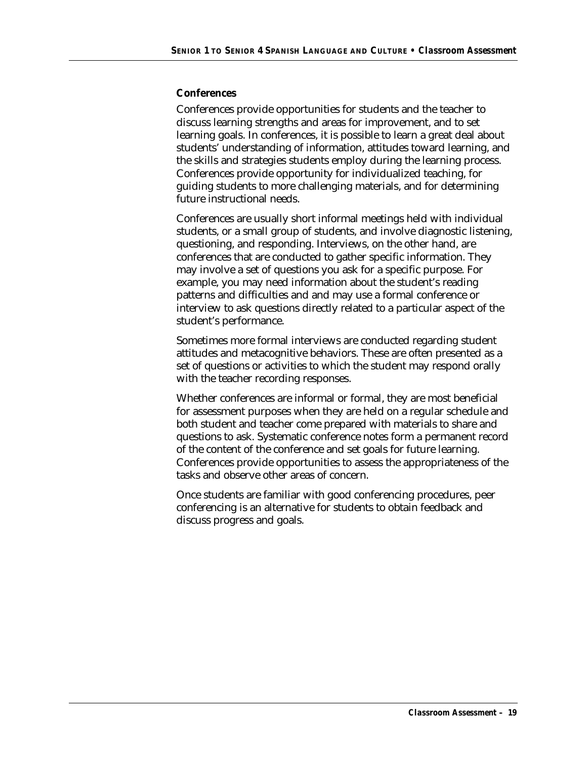#### **Conferences**

Conferences provide opportunities for students and the teacher to discuss learning strengths and areas for improvement, and to set learning goals. In conferences, it is possible to learn a great deal about students' understanding of information, attitudes toward learning, and the skills and strategies students employ during the learning process. Conferences provide opportunity for individualized teaching, for guiding students to more challenging materials, and for determining future instructional needs.

Conferences are usually short informal meetings held with individual students, or a small group of students, and involve diagnostic listening, questioning, and responding. Interviews, on the other hand, are conferences that are conducted to gather specific information. They may involve a set of questions you ask for a specific purpose. For example, you may need information about the student's reading patterns and difficulties and and may use a formal conference or interview to ask questions directly related to a particular aspect of the student's performance.

Sometimes more formal interviews are conducted regarding student attitudes and metacognitive behaviors. These are often presented as a set of questions or activities to which the student may respond orally with the teacher recording responses.

Whether conferences are informal or formal, they are most beneficial for assessment purposes when they are held on a regular schedule and both student and teacher come prepared with materials to share and questions to ask. Systematic conference notes form a permanent record of the content of the conference and set goals for future learning. Conferences provide opportunities to assess the appropriateness of the tasks and observe other areas of concern.

Once students are familiar with good conferencing procedures, peer conferencing is an alternative for students to obtain feedback and discuss progress and goals.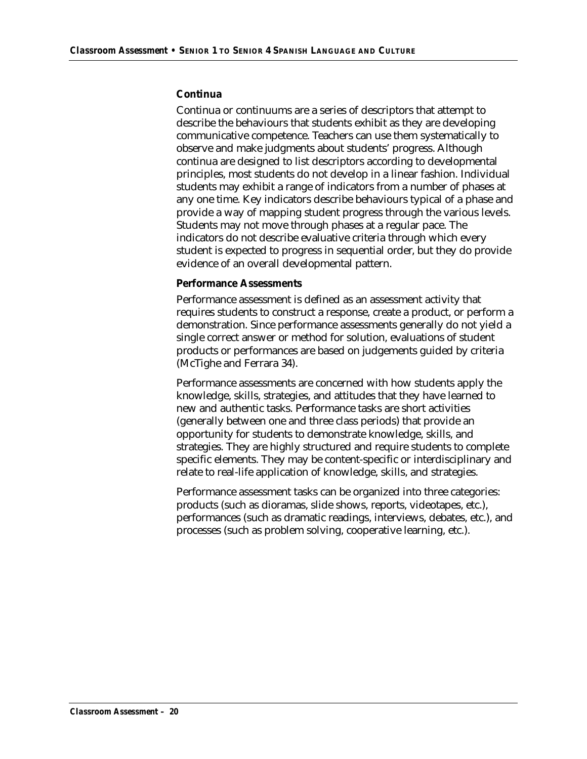#### **Continua**

Continua or continuums are a series of descriptors that attempt to describe the behaviours that students exhibit as they are developing communicative competence. Teachers can use them systematically to observe and make judgments about students' progress. Although continua are designed to list descriptors according to developmental principles, most students do not develop in a linear fashion. Individual students may exhibit a range of indicators from a number of phases at any one time. Key indicators describe behaviours typical of a phase and provide a way of mapping student progress through the various levels. Students may not move through phases at a regular pace. The indicators do not describe evaluative criteria through which every student is expected to progress in sequential order, but they do provide evidence of an overall developmental pattern.

#### **Performance Assessments**

Performance assessment is defined as an assessment activity that requires students to construct a response, create a product, or perform a demonstration. Since performance assessments generally do not yield a single correct answer or method for solution, evaluations of student products or performances are based on judgements guided by criteria (McTighe and Ferrara 34).

Performance assessments are concerned with how students apply the knowledge, skills, strategies, and attitudes that they have learned to new and authentic tasks. Performance tasks are short activities (generally between one and three class periods) that provide an opportunity for students to demonstrate knowledge, skills, and strategies. They are highly structured and require students to complete specific elements. They may be content-specific or interdisciplinary and relate to real-life application of knowledge, skills, and strategies.

Performance assessment tasks can be organized into three categories: products (such as dioramas, slide shows, reports, videotapes, etc.), performances (such as dramatic readings, interviews, debates, etc.), and processes (such as problem solving, cooperative learning, etc.).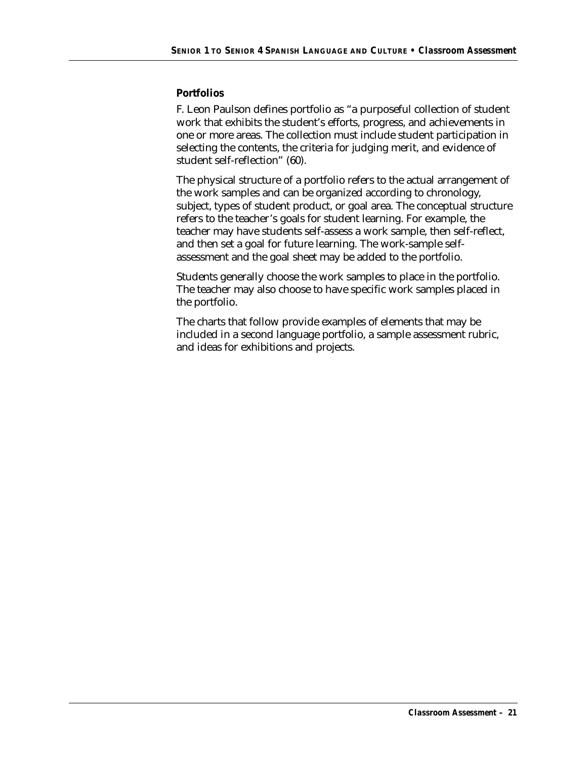#### **Portfolios**

F. Leon Paulson defines portfolio as "a purposeful collection of student work that exhibits the student's efforts, progress, and achievements in one or more areas. The collection must include student participation in selecting the contents, the criteria for judging merit, and evidence of student self-reflection" (60).

The physical structure of a portfolio refers to the actual arrangement of the work samples and can be organized according to chronology, subject, types of student product, or goal area. The conceptual structure refers to the teacher's goals for student learning. For example, the teacher may have students self-assess a work sample, then self-reflect, and then set a goal for future learning. The work-sample selfassessment and the goal sheet may be added to the portfolio.

Students generally choose the work samples to place in the portfolio. The teacher may also choose to have specific work samples placed in the portfolio.

The charts that follow provide examples of elements that may be included in a second language portfolio, a sample assessment rubric, and ideas for exhibitions and projects.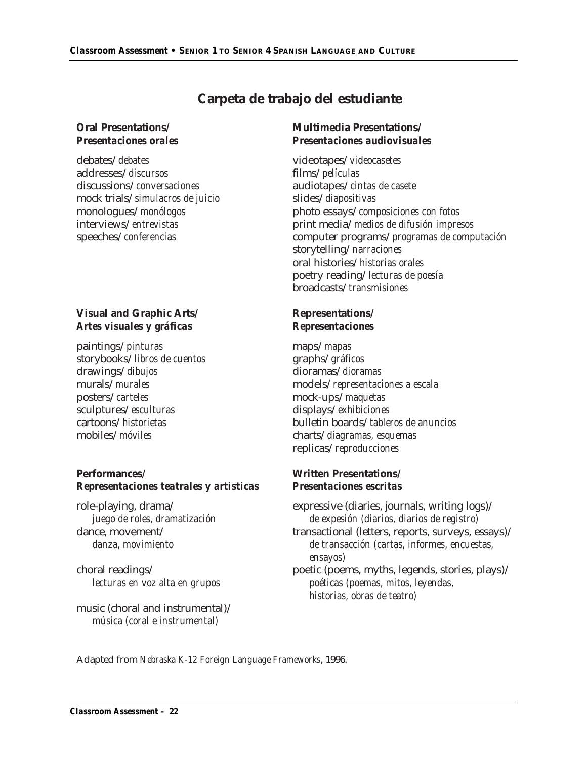## **Carpeta de trabajo del estudiante**

debates/*debates* videotapes/*videocasetes* addresses/*discursos* films/*películas* discussions/*conversaciones* audiotapes/*cintas de casete* mock trials/*simulacros de juicio* slides/*diapositivas*

#### **Oral Presentations/ Multimedia Presentations/** *Presentaciones orales Presentaciones audiovisuales*

monologues/*monólogos* photo essays/*composiciones con fotos* interviews/*entrevistas* print media/*medios de difusión impresos* speeches/*conferencias* computer programs/*programas de computación* storytelling/*narraciones* oral histories/*historias orales* poetry reading/*lecturas de poesía* broadcasts/*transmisiones*

#### **Visual and Graphic Arts/ Representations/** *Artes visuales y gráficas Representaciones*

paintings/*pinturas* maps/*mapas* storybooks/*libros de cuentos* graphs/*gráficos* drawings/*dibujos* dioramas/*dioramas* posters/*carteles* mock-ups/*maquetas* sculptures/*esculturas* displays/*exhibiciones* mobiles/*móviles* charts/*diagramas, esquemas*

#### **Performances/ Written Presentations/** *Representaciones teatrales y artisticas Presentaciones escritas*

music (choral and instrumental)/ *música (coral e instrumental)*

murals/*murales* models/*representaciones a escala* cartoons/*historietas* bulletin boards/*tableros de anuncios* replicas/*reproducciones*

role-playing, drama/ expressive (diaries, journals, writing logs)/ *juego de roles, dramatización de expesión (diarios, diarios de registro)* dance, movement/  $t$  transactional (letters, reports, surveys, essays)/ *danza, movimiento de transacción (cartas, informes, encuestas, ensayos)* choral readings/ poetic (poems, myths, legends, stories, plays)/ *lecturas en voz alta en grupos poéticas (poemas, mitos, leyendas, historias, obras de teatro)*

Adapted from *Nebraska K-12 Foreign Language Frameworks*, 1996.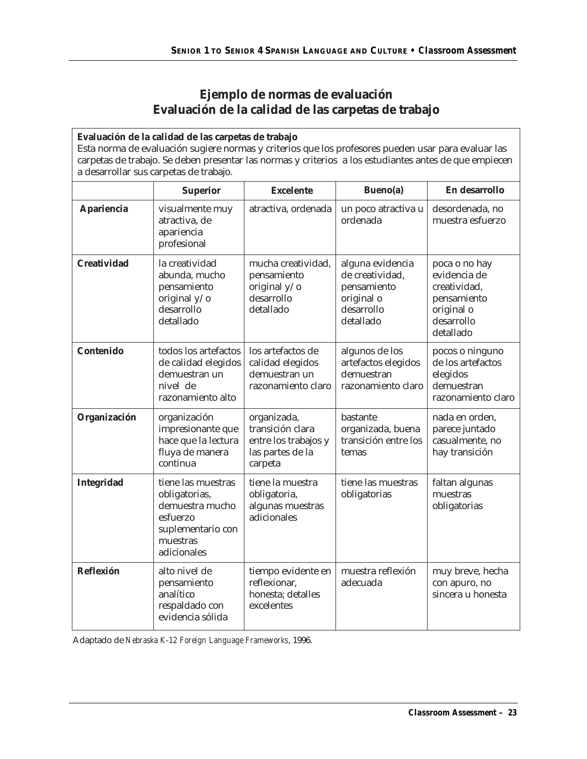## **Ejemplo de normas de evaluación Evaluación de la calidad de las carpetas de trabajo**

| Evaluación de la calidad de las carpetas de trabajo<br>Esta norma de evaluación sugiere normas y criterios que los profesores pueden usar para evaluar las<br>carpetas de trabajo. Se deben presentar las normas y criterios a los estudiantes antes de que empiecen<br>a desarrollar sus carpetas de trabajo. |                                                                                                                    |                                                                                        |                                                                                             |                                                                                                       |
|----------------------------------------------------------------------------------------------------------------------------------------------------------------------------------------------------------------------------------------------------------------------------------------------------------------|--------------------------------------------------------------------------------------------------------------------|----------------------------------------------------------------------------------------|---------------------------------------------------------------------------------------------|-------------------------------------------------------------------------------------------------------|
|                                                                                                                                                                                                                                                                                                                | Superior                                                                                                           | <b>Excelente</b>                                                                       | Bueno(a)                                                                                    | En desarrollo                                                                                         |
| Apariencia                                                                                                                                                                                                                                                                                                     | visualmente muy<br>atractiva, de<br>apariencia<br>profesional                                                      | atractiva, ordenada                                                                    | un poco atractiva u<br>ordenada                                                             | desordenada, no<br>muestra esfuerzo                                                                   |
| Creatividad                                                                                                                                                                                                                                                                                                    | la creatividad<br>abunda, mucho<br>pensamiento<br>original y/o<br>desarrollo<br>detallado                          | mucha creatividad,<br>pensamiento<br>original y/o<br>desarrollo<br>detallado           | alguna evidencia<br>de creatividad,<br>pensamiento<br>original o<br>desarrollo<br>detallado | poca o no hay<br>evidencia de<br>creatividad,<br>pensamiento<br>original o<br>desarrollo<br>detallado |
| Contenido                                                                                                                                                                                                                                                                                                      | todos los artefactos<br>de calidad elegidos<br>demuestran un<br>nivel de<br>razonamiento alto                      | los artefactos de<br>calidad elegidos<br>demuestran un<br>razonamiento claro           | algunos de los<br>artefactos elegidos<br>demuestran<br>razonamiento claro                   | pocos o ninguno<br>de los artefactos<br>elegidos<br>demuestran<br>razonamiento claro                  |
| Organización                                                                                                                                                                                                                                                                                                   | organización<br>impresionante que<br>hace que la lectura<br>fluya de manera<br>continua                            | organizada,<br>transición clara<br>entre los trabajos y<br>las partes de la<br>carpeta | bastante<br>organizada, buena<br>transición entre los<br>temas                              | nada en orden,<br>parece juntado<br>casualmente, no<br>hay transición                                 |
| Integridad                                                                                                                                                                                                                                                                                                     | tiene las muestras<br>obligatorias,<br>demuestra mucho<br>esfuerzo<br>suplementario con<br>muestras<br>adicionales | tiene la muestra<br>obligatoria,<br>algunas muestras<br>adicionales                    | tiene las muestras<br>obligatorias                                                          | faltan algunas<br>muestras<br>obligatorias                                                            |
| Reflexión                                                                                                                                                                                                                                                                                                      | alto nivel de<br>pensamiento<br>analítico<br>respaldado con<br>evidencia sólida                                    | tiempo evidente en<br>reflexionar,<br>honesta; detalles<br>excelentes                  | muestra reflexión<br>adecuada                                                               | muy breve, hecha<br>con apuro, no<br>sincera u honesta                                                |

Adaptado de *Nebraska K-12 Foreign Language Frameworks*, 1996.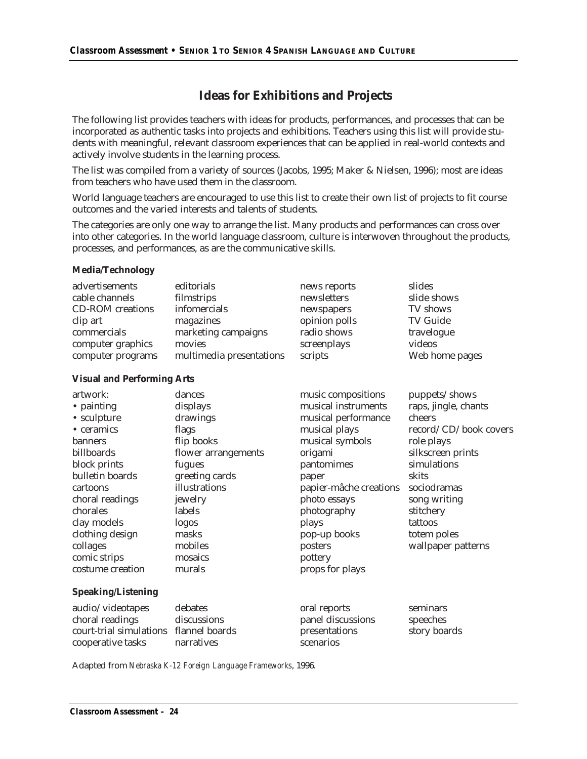## **Ideas for Exhibitions and Projects**

The following list provides teachers with ideas for products, performances, and processes that can be incorporated as authentic tasks into projects and exhibitions. Teachers using this list will provide students with meaningful, relevant classroom experiences that can be applied in real-world contexts and actively involve students in the learning process.

The list was compiled from a variety of sources (Jacobs, 1995; Maker & Nielsen, 1996); most are ideas from teachers who have used them in the classroom.

World language teachers are encouraged to use this list to create their own list of projects to fit course outcomes and the varied interests and talents of students.

The categories are only one way to arrange the list. Many products and performances can cross over into other categories. In the world language classroom, culture is interwoven throughout the products, processes, and performances, as are the communicative skills.

#### **Media/Technology**

| advertisements          | editorials               | news reports  | slides          |
|-------------------------|--------------------------|---------------|-----------------|
| cable channels          | filmstrips               | newsletters   | slide shows     |
| <b>CD-ROM</b> creations | infomercials             | newspapers    | TV shows        |
| clip art                | magazines                | opinion polls | <b>TV Guide</b> |
| commercials             | marketing campaigns      | radio shows   | travelogue      |
| computer graphics       | movies                   | screenplays   | videos          |
| computer programs       | multimedia presentations | scripts       | Web home pages  |
|                         |                          |               |                 |

#### **Visual and Performing Arts**

| artwork:           | dances              | music compositions     | puppets/shows         |
|--------------------|---------------------|------------------------|-----------------------|
| • painting         | displays            | musical instruments    | raps, jingle, chants  |
| • sculpture        | drawings            | musical performance    | cheers                |
| • ceramics         | flags               | musical plays          | record/CD/book covers |
| banners            | flip books          | musical symbols        | role plays            |
| billboards         | flower arrangements | origami                | silkscreen prints     |
| block prints       | fugues              | pantomimes             | simulations           |
| bulletin boards    | greeting cards      | paper                  | skits                 |
| cartoons           | illustrations       | papier-mâche creations | sociodramas           |
| choral readings    | jewelry             | photo essays           | song writing          |
| chorales           | labels              | photography            | stitchery             |
| clay models        | logos               | plays                  | tattoos               |
| clothing design    | masks               | pop-up books           | totem poles           |
| collages           | mobiles             | posters                | wallpaper patterns    |
| comic strips       | mosaics             | pottery                |                       |
| costume creation   | murals              | props for plays        |                       |
| Speaking/Listening |                     |                        |                       |

#### **Speaking/Listening**

| debates                                | oral reports      | seminars     |
|----------------------------------------|-------------------|--------------|
| discussions                            | panel discussions | speeches     |
| court-trial simulations flannel boards | presentations     | story boards |
| narratives                             | scenarios         |              |
|                                        |                   |              |

Adapted from *Nebraska K-12 Foreign Language Frameworks*, 1996.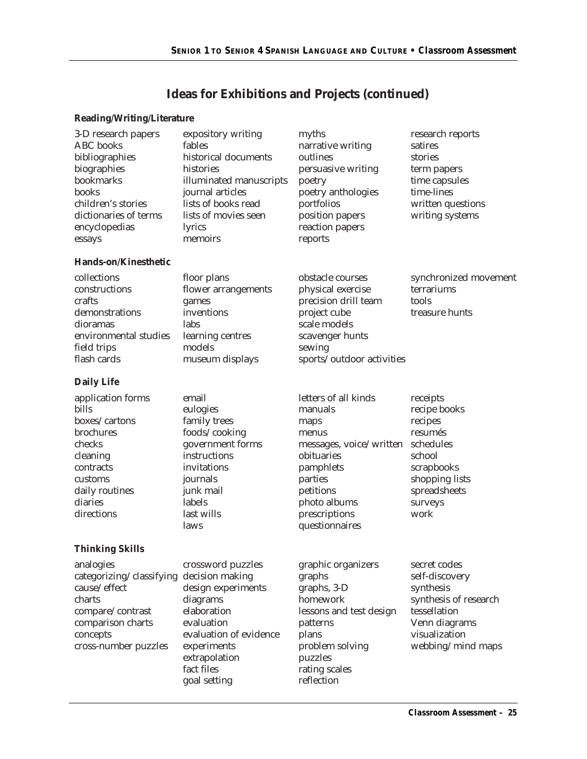## **Ideas for Exhibitions and Projects (continued)**

#### **Reading/Writing/Literature**

| 3-D research papers<br>ABC books<br>bibliographies<br>biographies<br>bookmarks<br>books<br>children's stories<br>dictionaries of terms<br>encyclopedias<br>essays | expository writing<br>fables<br>historical documents<br>histories<br>illuminated manuscripts<br>journal articles<br>lists of books read<br>lists of movies seen<br>lyrics<br>memoirs | myths<br>narrative writing<br>outlines<br>persuasive writing<br>poetry<br>poetry anthologies<br>portfolios<br>position papers<br>reaction papers<br>reports                       | research reports<br>satires<br>stories<br>term papers<br>time capsules<br>time-lines<br>written questions<br>writing systems                |
|-------------------------------------------------------------------------------------------------------------------------------------------------------------------|--------------------------------------------------------------------------------------------------------------------------------------------------------------------------------------|-----------------------------------------------------------------------------------------------------------------------------------------------------------------------------------|---------------------------------------------------------------------------------------------------------------------------------------------|
| Hands-on/Kinesthetic                                                                                                                                              |                                                                                                                                                                                      |                                                                                                                                                                                   |                                                                                                                                             |
| collections<br>constructions<br>crafts<br>demonstrations<br>dioramas<br>environmental studies<br>field trips<br>flash cards                                       | floor plans<br>flower arrangements<br>games<br>inventions<br>labs<br>learning centres<br>models<br>museum displays                                                                   | obstacle courses<br>physical exercise<br>precision drill team<br>project cube<br>scale models<br>scavenger hunts<br>sewing<br>sports/outdoor activities                           | synchronized movement<br>terrariums<br>tools<br>treasure hunts                                                                              |
| Daily Life                                                                                                                                                        |                                                                                                                                                                                      |                                                                                                                                                                                   |                                                                                                                                             |
| application forms<br>bills<br>boxes/cartons<br>brochures<br>checks<br>cleaning<br>contracts<br>customs<br>daily routines<br>diaries<br>directions                 | email<br>eulogies<br>family trees<br>foods/cooking<br>government forms<br>instructions<br>invitations<br>journals<br>junk mail<br>labels<br>last wills<br>laws                       | letters of all kinds<br>manuals<br>maps<br>menus<br>messages, voice/written<br>obituaries<br>pamphlets<br>parties<br>petitions<br>photo albums<br>prescriptions<br>questionnaires | receipts<br>recipe books<br>recipes<br>resumés<br>schedules<br>school<br>scrapbooks<br>shopping lists<br>spreadsheets<br>surveys<br>work    |
| <b>Thinking Skills</b>                                                                                                                                            |                                                                                                                                                                                      |                                                                                                                                                                                   |                                                                                                                                             |
| analogies<br>categorizing/classifying decision making<br>cause/effect<br>charts<br>compare/contrast<br>comparison charts<br>concepts<br>cross-number puzzles      | crossword puzzles<br>design experiments<br>diagrams<br>elaboration<br>evaluation<br>evaluation of evidence<br>experiments<br>extrapolation<br>fact files<br>goal setting             | graphic organizers<br>graphs<br>graphs, 3-D<br>homework<br>lessons and test design<br>patterns<br>plans<br>problem solving<br>puzzles<br>rating scales<br>reflection              | secret codes<br>self-discovery<br>synthesis<br>synthesis of research<br>tessellation<br>Venn diagrams<br>visualization<br>webbing/mind maps |